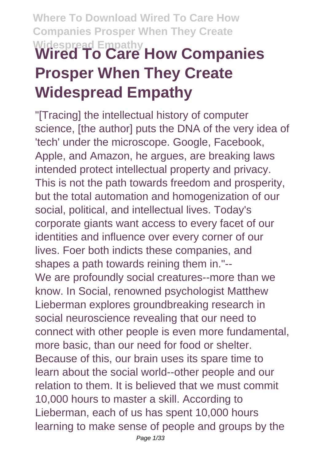# **Where To Download Wired To Care How Companies Prosper When They Create Widespread Empathy Wired To Care How Companies**

# **Prosper When They Create Widespread Empathy**

"[Tracing] the intellectual history of computer science, [the author] puts the DNA of the very idea of 'tech' under the microscope. Google, Facebook, Apple, and Amazon, he argues, are breaking laws intended protect intellectual property and privacy. This is not the path towards freedom and prosperity, but the total automation and homogenization of our social, political, and intellectual lives. Today's corporate giants want access to every facet of our identities and influence over every corner of our lives. Foer both indicts these companies, and shapes a path towards reining them in."-- We are profoundly social creatures--more than we know. In Social, renowned psychologist Matthew Lieberman explores groundbreaking research in social neuroscience revealing that our need to connect with other people is even more fundamental, more basic, than our need for food or shelter. Because of this, our brain uses its spare time to learn about the social world--other people and our relation to them. It is believed that we must commit 10,000 hours to master a skill. According to Lieberman, each of us has spent 10,000 hours learning to make sense of people and groups by the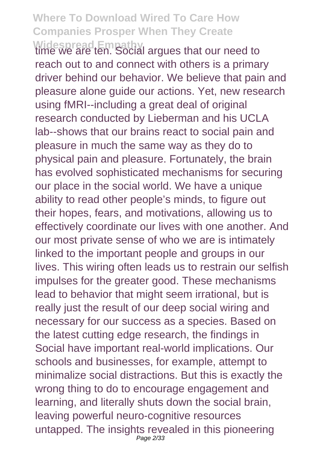Widespread Empathy<br>time we are ten. Social argues that our need to reach out to and connect with others is a primary driver behind our behavior. We believe that pain and pleasure alone guide our actions. Yet, new research using fMRI--including a great deal of original research conducted by Lieberman and his UCLA lab--shows that our brains react to social pain and pleasure in much the same way as they do to physical pain and pleasure. Fortunately, the brain has evolved sophisticated mechanisms for securing our place in the social world. We have a unique ability to read other people's minds, to figure out their hopes, fears, and motivations, allowing us to effectively coordinate our lives with one another. And our most private sense of who we are is intimately linked to the important people and groups in our lives. This wiring often leads us to restrain our selfish impulses for the greater good. These mechanisms lead to behavior that might seem irrational, but is really just the result of our deep social wiring and necessary for our success as a species. Based on the latest cutting edge research, the findings in Social have important real-world implications. Our schools and businesses, for example, attempt to minimalize social distractions. But this is exactly the wrong thing to do to encourage engagement and learning, and literally shuts down the social brain, leaving powerful neuro-cognitive resources untapped. The insights revealed in this pioneering Page 2/33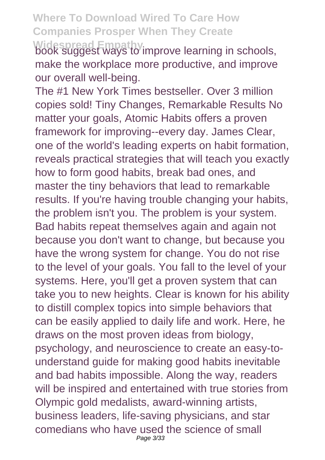**Widespread Empathy** book suggest ways to improve learning in schools, make the workplace more productive, and improve our overall well-being.

The #1 New York Times bestseller. Over 3 million copies sold! Tiny Changes, Remarkable Results No matter your goals, Atomic Habits offers a proven framework for improving--every day. James Clear, one of the world's leading experts on habit formation, reveals practical strategies that will teach you exactly how to form good habits, break bad ones, and master the tiny behaviors that lead to remarkable results. If you're having trouble changing your habits, the problem isn't you. The problem is your system. Bad habits repeat themselves again and again not because you don't want to change, but because you have the wrong system for change. You do not rise to the level of your goals. You fall to the level of your systems. Here, you'll get a proven system that can take you to new heights. Clear is known for his ability to distill complex topics into simple behaviors that can be easily applied to daily life and work. Here, he draws on the most proven ideas from biology, psychology, and neuroscience to create an easy-tounderstand guide for making good habits inevitable and bad habits impossible. Along the way, readers will be inspired and entertained with true stories from Olympic gold medalists, award-winning artists, business leaders, life-saving physicians, and star comedians who have used the science of small Page 3/33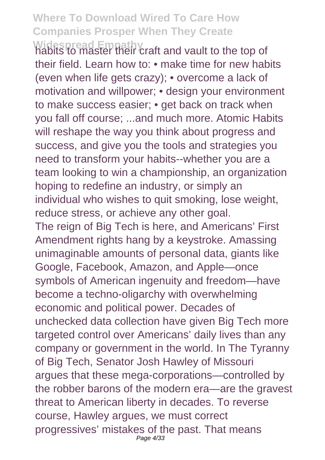**Widespread Empathy** habits to master their craft and vault to the top of their field. Learn how to: • make time for new habits (even when life gets crazy); • overcome a lack of motivation and willpower; • design your environment to make success easier; • get back on track when you fall off course; ...and much more. Atomic Habits will reshape the way you think about progress and success, and give you the tools and strategies you need to transform your habits--whether you are a team looking to win a championship, an organization hoping to redefine an industry, or simply an individual who wishes to quit smoking, lose weight, reduce stress, or achieve any other goal. The reign of Big Tech is here, and Americans' First Amendment rights hang by a keystroke. Amassing unimaginable amounts of personal data, giants like Google, Facebook, Amazon, and Apple—once symbols of American ingenuity and freedom—have become a techno-oligarchy with overwhelming economic and political power. Decades of unchecked data collection have given Big Tech more targeted control over Americans' daily lives than any company or government in the world. In The Tyranny of Big Tech, Senator Josh Hawley of Missouri argues that these mega-corporations—controlled by the robber barons of the modern era—are the gravest threat to American liberty in decades. To reverse course, Hawley argues, we must correct progressives' mistakes of the past. That means Page 4/33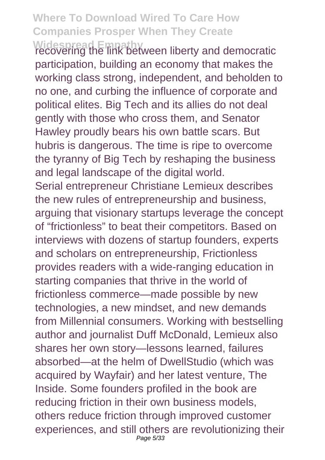**Widespread Empathy** recovering the link between liberty and democratic participation, building an economy that makes the working class strong, independent, and beholden to no one, and curbing the influence of corporate and political elites. Big Tech and its allies do not deal gently with those who cross them, and Senator Hawley proudly bears his own battle scars. But hubris is dangerous. The time is ripe to overcome the tyranny of Big Tech by reshaping the business and legal landscape of the digital world. Serial entrepreneur Christiane Lemieux describes the new rules of entrepreneurship and business, arguing that visionary startups leverage the concept of "frictionless" to beat their competitors. Based on interviews with dozens of startup founders, experts and scholars on entrepreneurship, Frictionless provides readers with a wide-ranging education in starting companies that thrive in the world of frictionless commerce—made possible by new technologies, a new mindset, and new demands from Millennial consumers. Working with bestselling author and journalist Duff McDonald, Lemieux also shares her own story—lessons learned, failures absorbed—at the helm of DwellStudio (which was acquired by Wayfair) and her latest venture, The Inside. Some founders profiled in the book are reducing friction in their own business models, others reduce friction through improved customer experiences, and still others are revolutionizing their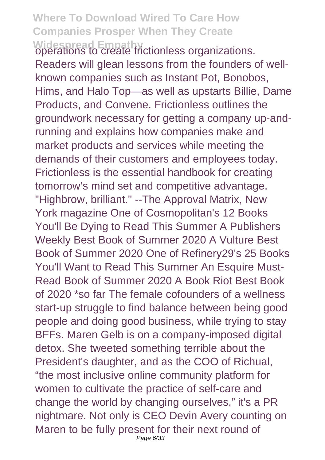Widespread Empathy<br>operations to create frictionless organizations. Readers will glean lessons from the founders of wellknown companies such as Instant Pot, Bonobos, Hims, and Halo Top—as well as upstarts Billie, Dame Products, and Convene. Frictionless outlines the groundwork necessary for getting a company up-andrunning and explains how companies make and market products and services while meeting the demands of their customers and employees today. Frictionless is the essential handbook for creating tomorrow's mind set and competitive advantage. "Highbrow, brilliant." --The Approval Matrix, New York magazine One of Cosmopolitan's 12 Books You'll Be Dying to Read This Summer A Publishers Weekly Best Book of Summer 2020 A Vulture Best Book of Summer 2020 One of Refinery29's 25 Books You'll Want to Read This Summer An Esquire Must-Read Book of Summer 2020 A Book Riot Best Book of 2020 \*so far The female cofounders of a wellness start-up struggle to find balance between being good people and doing good business, while trying to stay BFFs. Maren Gelb is on a company-imposed digital detox. She tweeted something terrible about the President's daughter, and as the COO of Richual, "the most inclusive online community platform for women to cultivate the practice of self-care and change the world by changing ourselves," it's a PR nightmare. Not only is CEO Devin Avery counting on Maren to be fully present for their next round of Page 6/33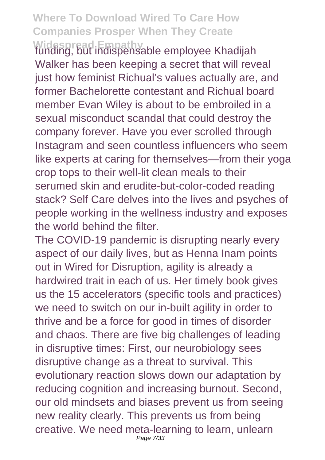**Widespread Empathy** funding, but indispensable employee Khadijah Walker has been keeping a secret that will reveal just how feminist Richual's values actually are, and former Bachelorette contestant and Richual board member Evan Wiley is about to be embroiled in a sexual misconduct scandal that could destroy the company forever. Have you ever scrolled through Instagram and seen countless influencers who seem like experts at caring for themselves—from their yoga crop tops to their well-lit clean meals to their serumed skin and erudite-but-color-coded reading stack? Self Care delves into the lives and psyches of people working in the wellness industry and exposes the world behind the filter.

The COVID-19 pandemic is disrupting nearly every aspect of our daily lives, but as Henna Inam points out in Wired for Disruption, agility is already a hardwired trait in each of us. Her timely book gives us the 15 accelerators (specific tools and practices) we need to switch on our in-built agility in order to thrive and be a force for good in times of disorder and chaos. There are five big challenges of leading in disruptive times: First, our neurobiology sees disruptive change as a threat to survival. This evolutionary reaction slows down our adaptation by reducing cognition and increasing burnout. Second, our old mindsets and biases prevent us from seeing new reality clearly. This prevents us from being creative. We need meta-learning to learn, unlearn Page 7/33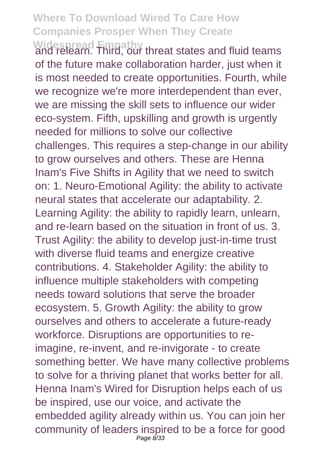Widespread Empathy<br>and relearn. Third, our threat states and fluid teams of the future make collaboration harder, just when it is most needed to create opportunities. Fourth, while we recognize we're more interdependent than ever, we are missing the skill sets to influence our wider eco-system. Fifth, upskilling and growth is urgently needed for millions to solve our collective challenges. This requires a step-change in our ability to grow ourselves and others. These are Henna Inam's Five Shifts in Agility that we need to switch on: 1. Neuro-Emotional Agility: the ability to activate neural states that accelerate our adaptability. 2. Learning Agility: the ability to rapidly learn, unlearn, and re-learn based on the situation in front of us. 3. Trust Agility: the ability to develop just-in-time trust with diverse fluid teams and energize creative contributions. 4. Stakeholder Agility: the ability to influence multiple stakeholders with competing needs toward solutions that serve the broader ecosystem. 5. Growth Agility: the ability to grow ourselves and others to accelerate a future-ready workforce. Disruptions are opportunities to reimagine, re-invent, and re-invigorate - to create something better. We have many collective problems to solve for a thriving planet that works better for all. Henna Inam's Wired for Disruption helps each of us be inspired, use our voice, and activate the embedded agility already within us. You can join her community of leaders inspired to be a force for good Page 8/33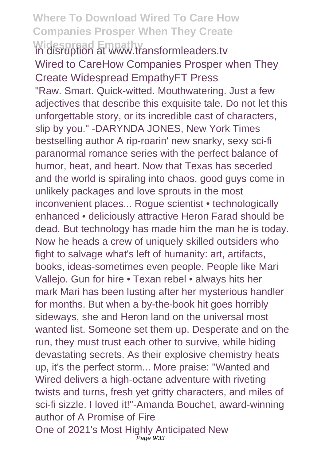#### **Where To Download Wired To Care How Companies Prosper When They Create Widespread Empathy** in disruption at www.transformleaders.tv

Wired to CareHow Companies Prosper when They Create Widespread EmpathyFT Press "Raw. Smart. Quick-witted. Mouthwatering. Just a few adjectives that describe this exquisite tale. Do not let this unforgettable story, or its incredible cast of characters, slip by you." -DARYNDA JONES, New York Times bestselling author A rip-roarin' new snarky, sexy sci-fi paranormal romance series with the perfect balance of humor, heat, and heart. Now that Texas has seceded and the world is spiraling into chaos, good guys come in unlikely packages and love sprouts in the most inconvenient places... Rogue scientist • technologically enhanced • deliciously attractive Heron Farad should be dead. But technology has made him the man he is today. Now he heads a crew of uniquely skilled outsiders who fight to salvage what's left of humanity: art, artifacts, books, ideas-sometimes even people. People like Mari Vallejo. Gun for hire • Texan rebel • always hits her mark Mari has been lusting after her mysterious handler for months. But when a by-the-book hit goes horribly sideways, she and Heron land on the universal most wanted list. Someone set them up. Desperate and on the run, they must trust each other to survive, while hiding devastating secrets. As their explosive chemistry heats up, it's the perfect storm... More praise: "Wanted and Wired delivers a high-octane adventure with riveting twists and turns, fresh yet gritty characters, and miles of sci-fi sizzle. I loved it!"-Amanda Bouchet, award-winning author of A Promise of Fire One of 2021's Most Highly Anticipated New Page 9/33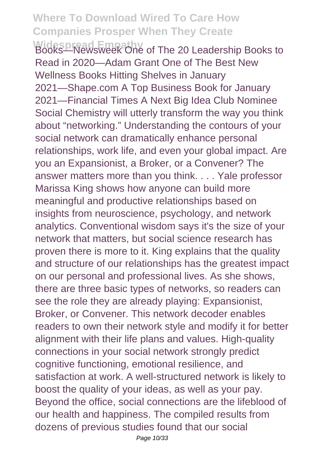**Widespread Empathy** Books—Newsweek One of The 20 Leadership Books to Read in 2020—Adam Grant One of The Best New Wellness Books Hitting Shelves in January 2021—Shape.com A Top Business Book for January 2021—Financial Times A Next Big Idea Club Nominee Social Chemistry will utterly transform the way you think about "networking." Understanding the contours of your social network can dramatically enhance personal relationships, work life, and even your global impact. Are you an Expansionist, a Broker, or a Convener? The answer matters more than you think. . . . Yale professor Marissa King shows how anyone can build more meaningful and productive relationships based on insights from neuroscience, psychology, and network analytics. Conventional wisdom says it's the size of your network that matters, but social science research has proven there is more to it. King explains that the quality and structure of our relationships has the greatest impact on our personal and professional lives. As she shows, there are three basic types of networks, so readers can see the role they are already playing: Expansionist, Broker, or Convener. This network decoder enables readers to own their network style and modify it for better alignment with their life plans and values. High-quality connections in your social network strongly predict cognitive functioning, emotional resilience, and satisfaction at work. A well-structured network is likely to boost the quality of your ideas, as well as your pay. Beyond the office, social connections are the lifeblood of our health and happiness. The compiled results from dozens of previous studies found that our social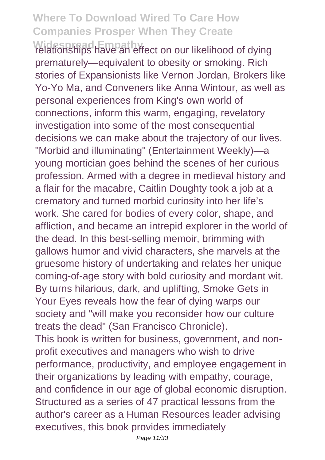**Widespread Empathy** relationships have an effect on our likelihood of dying prematurely—equivalent to obesity or smoking. Rich stories of Expansionists like Vernon Jordan, Brokers like Yo-Yo Ma, and Conveners like Anna Wintour, as well as personal experiences from King's own world of connections, inform this warm, engaging, revelatory investigation into some of the most consequential decisions we can make about the trajectory of our lives. "Morbid and illuminating" (Entertainment Weekly)—a young mortician goes behind the scenes of her curious profession. Armed with a degree in medieval history and a flair for the macabre, Caitlin Doughty took a job at a crematory and turned morbid curiosity into her life's work. She cared for bodies of every color, shape, and affliction, and became an intrepid explorer in the world of the dead. In this best-selling memoir, brimming with gallows humor and vivid characters, she marvels at the gruesome history of undertaking and relates her unique coming-of-age story with bold curiosity and mordant wit. By turns hilarious, dark, and uplifting, Smoke Gets in Your Eyes reveals how the fear of dying warps our society and "will make you reconsider how our culture treats the dead" (San Francisco Chronicle). This book is written for business, government, and nonprofit executives and managers who wish to drive performance, productivity, and employee engagement in their organizations by leading with empathy, courage, and confidence in our age of global economic disruption. Structured as a series of 47 practical lessons from the author's career as a Human Resources leader advising executives, this book provides immediately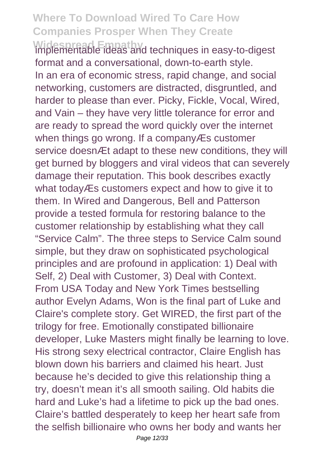**Widespread Empathy** implementable ideas and techniques in easy-to-digest format and a conversational, down-to-earth style. In an era of economic stress, rapid change, and social networking, customers are distracted, disgruntled, and harder to please than ever. Picky, Fickle, Vocal, Wired, and Vain – they have very little tolerance for error and are ready to spread the word quickly over the internet when things go wrong. If a companyÆs customer service doesn *Et* adapt to these new conditions, they will get burned by bloggers and viral videos that can severely damage their reputation. This book describes exactly what todayÆs customers expect and how to give it to them. In Wired and Dangerous, Bell and Patterson provide a tested formula for restoring balance to the customer relationship by establishing what they call "Service Calm". The three steps to Service Calm sound simple, but they draw on sophisticated psychological principles and are profound in application: 1) Deal with Self, 2) Deal with Customer, 3) Deal with Context. From USA Today and New York Times bestselling author Evelyn Adams, Won is the final part of Luke and Claire's complete story. Get WIRED, the first part of the trilogy for free. Emotionally constipated billionaire developer, Luke Masters might finally be learning to love. His strong sexy electrical contractor, Claire English has blown down his barriers and claimed his heart. Just because he's decided to give this relationship thing a try, doesn't mean it's all smooth sailing. Old habits die hard and Luke's had a lifetime to pick up the bad ones. Claire's battled desperately to keep her heart safe from the selfish billionaire who owns her body and wants her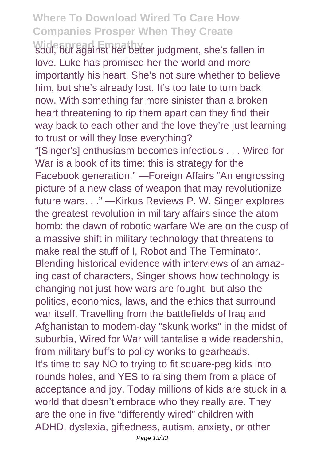Widespread Empathy<br>soul, but against her better judgment, she's fallen in love. Luke has promised her the world and more importantly his heart. She's not sure whether to believe him, but she's already lost. It's too late to turn back now. With something far more sinister than a broken heart threatening to rip them apart can they find their way back to each other and the love they're just learning to trust or will they lose everything?

"[Singer's] enthusiasm becomes infectious . . . Wired for War is a book of its time: this is strategy for the Facebook generation." —Foreign Affairs "An engrossing picture of a new class of weapon that may revolutionize future wars. . ." —Kirkus Reviews P. W. Singer explores the greatest revolution in military affairs since the atom bomb: the dawn of robotic warfare We are on the cusp of a massive shift in military technology that threatens to make real the stuff of I, Robot and The Terminator. Blending historical evidence with interviews of an amazing cast of characters, Singer shows how technology is changing not just how wars are fought, but also the politics, economics, laws, and the ethics that surround war itself. Travelling from the battlefields of Iraq and Afghanistan to modern-day "skunk works" in the midst of suburbia, Wired for War will tantalise a wide readership, from military buffs to policy wonks to gearheads. It's time to say NO to trying to fit square-peg kids into rounds holes, and YES to raising them from a place of acceptance and joy. Today millions of kids are stuck in a world that doesn't embrace who they really are. They are the one in five "differently wired" children with ADHD, dyslexia, giftedness, autism, anxiety, or other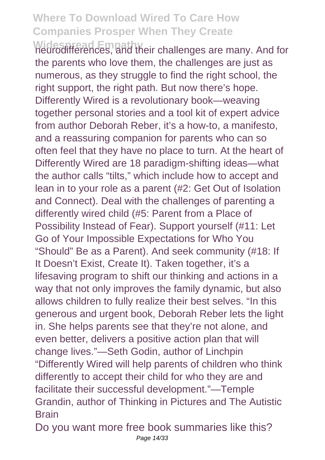Widespread Empathy<br>neurodifferences, and their challenges are many. And for the parents who love them, the challenges are just as numerous, as they struggle to find the right school, the right support, the right path. But now there's hope. Differently Wired is a revolutionary book—weaving together personal stories and a tool kit of expert advice from author Deborah Reber, it's a how-to, a manifesto, and a reassuring companion for parents who can so often feel that they have no place to turn. At the heart of Differently Wired are 18 paradigm-shifting ideas—what the author calls "tilts," which include how to accept and lean in to your role as a parent (#2: Get Out of Isolation and Connect). Deal with the challenges of parenting a differently wired child (#5: Parent from a Place of Possibility Instead of Fear). Support yourself (#11: Let Go of Your Impossible Expectations for Who You "Should" Be as a Parent). And seek community (#18: If It Doesn't Exist, Create It). Taken together, it's a lifesaving program to shift our thinking and actions in a way that not only improves the family dynamic, but also allows children to fully realize their best selves. "In this generous and urgent book, Deborah Reber lets the light in. She helps parents see that they're not alone, and even better, delivers a positive action plan that will change lives."—Seth Godin, author of Linchpin "Differently Wired will help parents of children who think differently to accept their child for who they are and facilitate their successful development."—Temple Grandin, author of Thinking in Pictures and The Autistic **Brain** 

Do you want more free book summaries like this? Page 14/33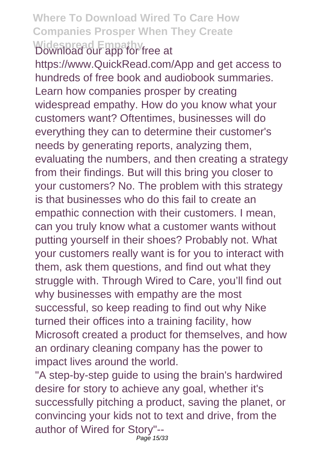#### **Where To Download Wired To Care How Companies Prosper When They Create Widespread Empathy** Download our app for free at

https://www.QuickRead.com/App and get access to hundreds of free book and audiobook summaries. Learn how companies prosper by creating widespread empathy. How do you know what your customers want? Oftentimes, businesses will do everything they can to determine their customer's needs by generating reports, analyzing them, evaluating the numbers, and then creating a strategy from their findings. But will this bring you closer to your customers? No. The problem with this strategy is that businesses who do this fail to create an empathic connection with their customers. I mean, can you truly know what a customer wants without putting yourself in their shoes? Probably not. What your customers really want is for you to interact with them, ask them questions, and find out what they struggle with. Through Wired to Care, you'll find out why businesses with empathy are the most successful, so keep reading to find out why Nike turned their offices into a training facility, how Microsoft created a product for themselves, and how an ordinary cleaning company has the power to impact lives around the world.

"A step-by-step guide to using the brain's hardwired desire for story to achieve any goal, whether it's successfully pitching a product, saving the planet, or convincing your kids not to text and drive, from the author of Wired for Story"-- Page 15/33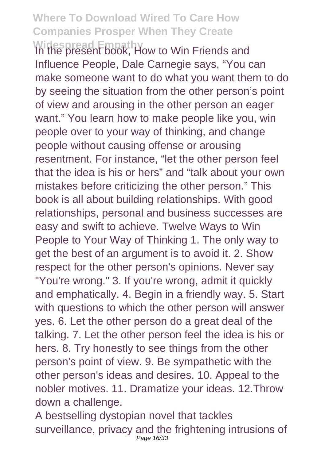Widespread Empathy<br>In the present book, How to Win Friends and Influence People, Dale Carnegie says, "You can make someone want to do what you want them to do by seeing the situation from the other person's point of view and arousing in the other person an eager want." You learn how to make people like you, win people over to your way of thinking, and change people without causing offense or arousing resentment. For instance, "let the other person feel that the idea is his or hers" and "talk about your own mistakes before criticizing the other person." This book is all about building relationships. With good relationships, personal and business successes are easy and swift to achieve. Twelve Ways to Win People to Your Way of Thinking 1. The only way to get the best of an argument is to avoid it. 2. Show respect for the other person's opinions. Never say "You're wrong." 3. If you're wrong, admit it quickly and emphatically. 4. Begin in a friendly way. 5. Start with questions to which the other person will answer yes. 6. Let the other person do a great deal of the talking. 7. Let the other person feel the idea is his or hers. 8. Try honestly to see things from the other person's point of view. 9. Be sympathetic with the other person's ideas and desires. 10. Appeal to the nobler motives. 11. Dramatize your ideas. 12.Throw down a challenge.

A bestselling dystopian novel that tackles surveillance, privacy and the frightening intrusions of Page 16/33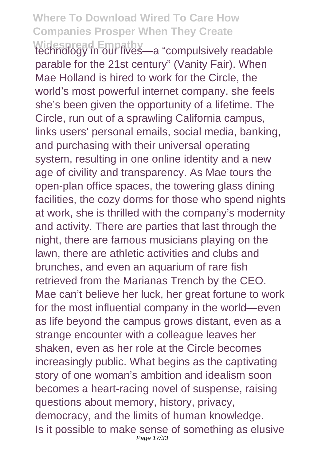Widespread Empathy<br>technology in our lives—a "compulsively readable parable for the 21st century" (Vanity Fair). When Mae Holland is hired to work for the Circle, the world's most powerful internet company, she feels she's been given the opportunity of a lifetime. The Circle, run out of a sprawling California campus, links users' personal emails, social media, banking, and purchasing with their universal operating system, resulting in one online identity and a new age of civility and transparency. As Mae tours the open-plan office spaces, the towering glass dining facilities, the cozy dorms for those who spend nights at work, she is thrilled with the company's modernity and activity. There are parties that last through the night, there are famous musicians playing on the lawn, there are athletic activities and clubs and brunches, and even an aquarium of rare fish retrieved from the Marianas Trench by the CEO. Mae can't believe her luck, her great fortune to work for the most influential company in the world—even as life beyond the campus grows distant, even as a strange encounter with a colleague leaves her shaken, even as her role at the Circle becomes increasingly public. What begins as the captivating story of one woman's ambition and idealism soon becomes a heart-racing novel of suspense, raising questions about memory, history, privacy, democracy, and the limits of human knowledge. Is it possible to make sense of something as elusive Page 17/33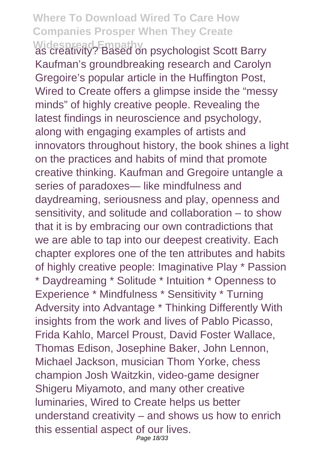Widespread Empathy<br>as creativity? Based on psychologist Scott Barry Kaufman's groundbreaking research and Carolyn Gregoire's popular article in the Huffington Post, Wired to Create offers a glimpse inside the "messy minds" of highly creative people. Revealing the latest findings in neuroscience and psychology, along with engaging examples of artists and innovators throughout history, the book shines a light on the practices and habits of mind that promote creative thinking. Kaufman and Gregoire untangle a series of paradoxes— like mindfulness and daydreaming, seriousness and play, openness and sensitivity, and solitude and collaboration – to show that it is by embracing our own contradictions that we are able to tap into our deepest creativity. Each chapter explores one of the ten attributes and habits of highly creative people: Imaginative Play \* Passion \* Daydreaming \* Solitude \* Intuition \* Openness to Experience \* Mindfulness \* Sensitivity \* Turning Adversity into Advantage \* Thinking Differently With insights from the work and lives of Pablo Picasso, Frida Kahlo, Marcel Proust, David Foster Wallace, Thomas Edison, Josephine Baker, John Lennon, Michael Jackson, musician Thom Yorke, chess champion Josh Waitzkin, video-game designer Shigeru Miyamoto, and many other creative luminaries, Wired to Create helps us better understand creativity – and shows us how to enrich this essential aspect of our lives. Page 18/33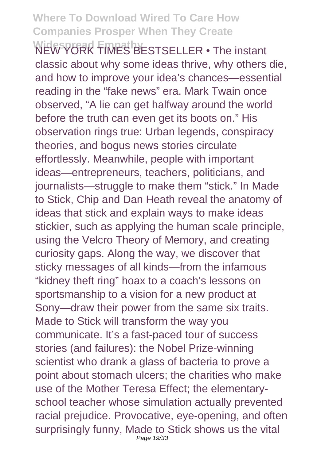Widesproad Empathy ESTSELLER • The instant classic about why some ideas thrive, why others die, and how to improve your idea's chances—essential reading in the "fake news" era. Mark Twain once observed, "A lie can get halfway around the world before the truth can even get its boots on." His observation rings true: Urban legends, conspiracy theories, and bogus news stories circulate effortlessly. Meanwhile, people with important ideas—entrepreneurs, teachers, politicians, and journalists—struggle to make them "stick." In Made to Stick, Chip and Dan Heath reveal the anatomy of ideas that stick and explain ways to make ideas stickier, such as applying the human scale principle, using the Velcro Theory of Memory, and creating curiosity gaps. Along the way, we discover that sticky messages of all kinds—from the infamous "kidney theft ring" hoax to a coach's lessons on sportsmanship to a vision for a new product at Sony—draw their power from the same six traits. Made to Stick will transform the way you communicate. It's a fast-paced tour of success stories (and failures): the Nobel Prize-winning scientist who drank a glass of bacteria to prove a point about stomach ulcers; the charities who make use of the Mother Teresa Effect; the elementaryschool teacher whose simulation actually prevented racial prejudice. Provocative, eye-opening, and often surprisingly funny, Made to Stick shows us the vital Page 19/33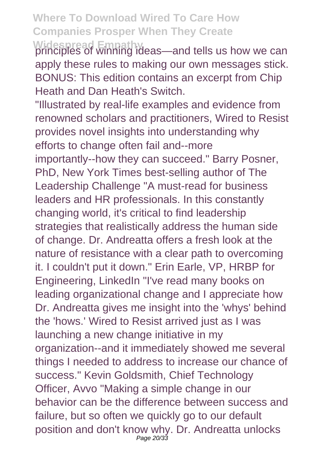**Widespread Empathy** principles of winning ideas—and tells us how we can apply these rules to making our own messages stick. BONUS: This edition contains an excerpt from Chip Heath and Dan Heath's Switch.

"Illustrated by real-life examples and evidence from renowned scholars and practitioners, Wired to Resist provides novel insights into understanding why efforts to change often fail and--more importantly--how they can succeed." Barry Posner, PhD, New York Times best-selling author of The Leadership Challenge "A must-read for business leaders and HR professionals. In this constantly changing world, it's critical to find leadership strategies that realistically address the human side of change. Dr. Andreatta offers a fresh look at the nature of resistance with a clear path to overcoming it. I couldn't put it down." Erin Earle, VP, HRBP for Engineering, LinkedIn "I've read many books on leading organizational change and I appreciate how Dr. Andreatta gives me insight into the 'whys' behind the 'hows.' Wired to Resist arrived just as I was launching a new change initiative in my organization--and it immediately showed me several things I needed to address to increase our chance of success." Kevin Goldsmith, Chief Technology Officer, Avvo "Making a simple change in our behavior can be the difference between success and failure, but so often we quickly go to our default position and don't know why. Dr. Andreatta unlocks Page 20/33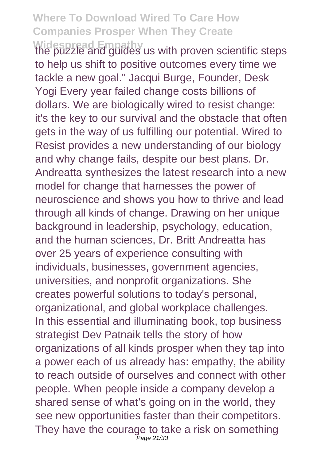Widespread Empathy<br>the puzzle and guides us with proven scientific steps to help us shift to positive outcomes every time we tackle a new goal." Jacqui Burge, Founder, Desk Yogi Every year failed change costs billions of dollars. We are biologically wired to resist change: it's the key to our survival and the obstacle that often gets in the way of us fulfilling our potential. Wired to Resist provides a new understanding of our biology and why change fails, despite our best plans. Dr. Andreatta synthesizes the latest research into a new model for change that harnesses the power of neuroscience and shows you how to thrive and lead through all kinds of change. Drawing on her unique background in leadership, psychology, education, and the human sciences, Dr. Britt Andreatta has over 25 years of experience consulting with individuals, businesses, government agencies, universities, and nonprofit organizations. She creates powerful solutions to today's personal, organizational, and global workplace challenges. In this essential and illuminating book, top business strategist Dev Patnaik tells the story of how organizations of all kinds prosper when they tap into a power each of us already has: empathy, the ability to reach outside of ourselves and connect with other people. When people inside a company develop a shared sense of what's going on in the world, they see new opportunities faster than their competitors. They have the courage to take a risk on something Page 21/33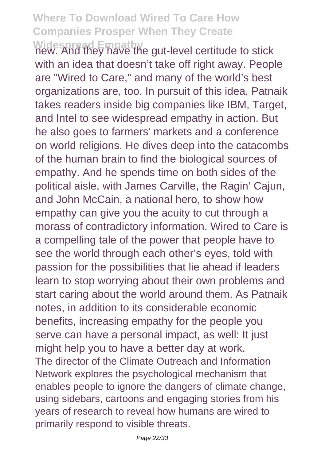**Widespread Empathy** new. And they have the gut-level certitude to stick with an idea that doesn't take off right away. People are "Wired to Care," and many of the world's best organizations are, too. In pursuit of this idea, Patnaik takes readers inside big companies like IBM, Target, and Intel to see widespread empathy in action. But he also goes to farmers' markets and a conference on world religions. He dives deep into the catacombs of the human brain to find the biological sources of empathy. And he spends time on both sides of the political aisle, with James Carville, the Ragin' Cajun, and John McCain, a national hero, to show how empathy can give you the acuity to cut through a morass of contradictory information. Wired to Care is a compelling tale of the power that people have to see the world through each other's eyes, told with passion for the possibilities that lie ahead if leaders learn to stop worrying about their own problems and start caring about the world around them. As Patnaik notes, in addition to its considerable economic benefits, increasing empathy for the people you serve can have a personal impact, as well: It just might help you to have a better day at work. The director of the Climate Outreach and Information Network explores the psychological mechanism that enables people to ignore the dangers of climate change, using sidebars, cartoons and engaging stories from his years of research to reveal how humans are wired to primarily respond to visible threats.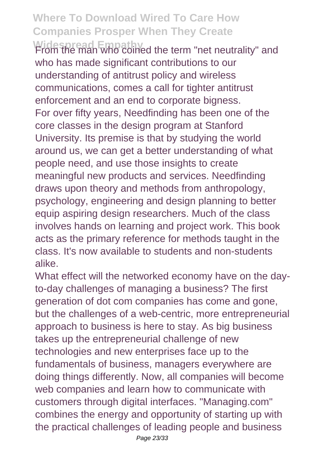Widespread Empathy<br>From the man who coined the term "net neutrality" and who has made significant contributions to our understanding of antitrust policy and wireless communications, comes a call for tighter antitrust enforcement and an end to corporate bigness. For over fifty years, Needfinding has been one of the core classes in the design program at Stanford University. Its premise is that by studying the world around us, we can get a better understanding of what people need, and use those insights to create meaningful new products and services. Needfinding draws upon theory and methods from anthropology, psychology, engineering and design planning to better equip aspiring design researchers. Much of the class involves hands on learning and project work. This book acts as the primary reference for methods taught in the class. It's now available to students and non-students alike.

What effect will the networked economy have on the dayto-day challenges of managing a business? The first generation of dot com companies has come and gone, but the challenges of a web-centric, more entrepreneurial approach to business is here to stay. As big business takes up the entrepreneurial challenge of new technologies and new enterprises face up to the fundamentals of business, managers everywhere are doing things differently. Now, all companies will become web companies and learn how to communicate with customers through digital interfaces. "Managing.com" combines the energy and opportunity of starting up with the practical challenges of leading people and business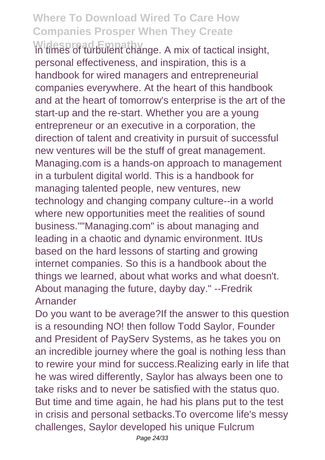Widespread Empathy<br>in times of turbulent change. A mix of tactical insight, personal effectiveness, and inspiration, this is a handbook for wired managers and entrepreneurial companies everywhere. At the heart of this handbook and at the heart of tomorrow's enterprise is the art of the start-up and the re-start. Whether you are a young entrepreneur or an executive in a corporation, the direction of talent and creativity in pursuit of successful new ventures will be the stuff of great management. Managing.com is a hands-on approach to management in a turbulent digital world. This is a handbook for managing talented people, new ventures, new technology and changing company culture--in a world where new opportunities meet the realities of sound business.""Managing.com" is about managing and leading in a chaotic and dynamic environment. ItUs based on the hard lessons of starting and growing internet companies. So this is a handbook about the things we learned, about what works and what doesn't. About managing the future, dayby day." --Fredrik Arnander

Do you want to be average?If the answer to this question is a resounding NO! then follow Todd Saylor, Founder and President of PayServ Systems, as he takes you on an incredible journey where the goal is nothing less than to rewire your mind for success.Realizing early in life that he was wired differently, Saylor has always been one to take risks and to never be satisfied with the status quo. But time and time again, he had his plans put to the test in crisis and personal setbacks.To overcome life's messy challenges, Saylor developed his unique Fulcrum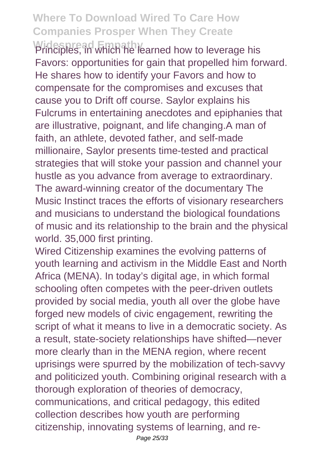**Widespread Empathy** Principles, in which he learned how to leverage his Favors: opportunities for gain that propelled him forward. He shares how to identify your Favors and how to compensate for the compromises and excuses that cause you to Drift off course. Saylor explains his Fulcrums in entertaining anecdotes and epiphanies that are illustrative, poignant, and life changing.A man of faith, an athlete, devoted father, and self-made millionaire, Saylor presents time-tested and practical strategies that will stoke your passion and channel your hustle as you advance from average to extraordinary. The award-winning creator of the documentary The Music Instinct traces the efforts of visionary researchers and musicians to understand the biological foundations of music and its relationship to the brain and the physical world. 35,000 first printing.

Wired Citizenship examines the evolving patterns of youth learning and activism in the Middle East and North Africa (MENA). In today's digital age, in which formal schooling often competes with the peer-driven outlets provided by social media, youth all over the globe have forged new models of civic engagement, rewriting the script of what it means to live in a democratic society. As a result, state-society relationships have shifted—never more clearly than in the MENA region, where recent uprisings were spurred by the mobilization of tech-savvy and politicized youth. Combining original research with a thorough exploration of theories of democracy, communications, and critical pedagogy, this edited collection describes how youth are performing citizenship, innovating systems of learning, and re-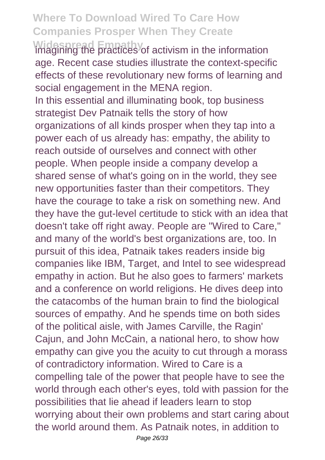**Widespread Empathy** imagining the practices of activism in the information age. Recent case studies illustrate the context-specific effects of these revolutionary new forms of learning and social engagement in the MENA region. In this essential and illuminating book, top business strategist Dev Patnaik tells the story of how organizations of all kinds prosper when they tap into a power each of us already has: empathy, the ability to reach outside of ourselves and connect with other people. When people inside a company develop a shared sense of what's going on in the world, they see new opportunities faster than their competitors. They have the courage to take a risk on something new. And they have the gut-level certitude to stick with an idea that doesn't take off right away. People are "Wired to Care," and many of the world's best organizations are, too. In pursuit of this idea, Patnaik takes readers inside big companies like IBM, Target, and Intel to see widespread empathy in action. But he also goes to farmers' markets and a conference on world religions. He dives deep into the catacombs of the human brain to find the biological sources of empathy. And he spends time on both sides of the political aisle, with James Carville, the Ragin' Cajun, and John McCain, a national hero, to show how empathy can give you the acuity to cut through a morass of contradictory information. Wired to Care is a compelling tale of the power that people have to see the world through each other's eyes, told with passion for the possibilities that lie ahead if leaders learn to stop worrying about their own problems and start caring about the world around them. As Patnaik notes, in addition to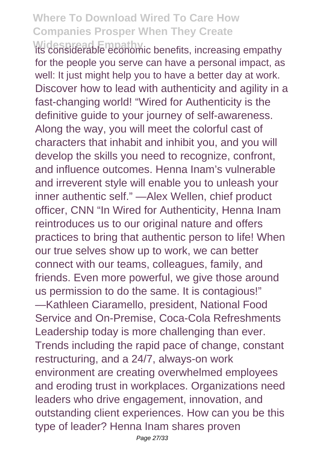**Widespread Empathy** its considerable economic benefits, increasing empathy for the people you serve can have a personal impact, as well: It just might help you to have a better day at work. Discover how to lead with authenticity and agility in a fast-changing world! "Wired for Authenticity is the definitive guide to your journey of self-awareness. Along the way, you will meet the colorful cast of characters that inhabit and inhibit you, and you will develop the skills you need to recognize, confront, and influence outcomes. Henna Inam's vulnerable and irreverent style will enable you to unleash your inner authentic self." —Alex Wellen, chief product officer, CNN "In Wired for Authenticity, Henna Inam reintroduces us to our original nature and offers practices to bring that authentic person to life! When our true selves show up to work, we can better connect with our teams, colleagues, family, and friends. Even more powerful, we give those around us permission to do the same. It is contagious!" —Kathleen Ciaramello, president, National Food Service and On-Premise, Coca-Cola Refreshments Leadership today is more challenging than ever. Trends including the rapid pace of change, constant restructuring, and a 24/7, always-on work environment are creating overwhelmed employees and eroding trust in workplaces. Organizations need leaders who drive engagement, innovation, and outstanding client experiences. How can you be this type of leader? Henna Inam shares proven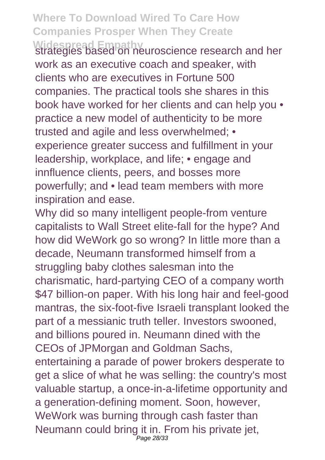Widespread Empathy<br>strategies based on neuroscience research and her work as an executive coach and speaker, with clients who are executives in Fortune 500 companies. The practical tools she shares in this book have worked for her clients and can help you • practice a new model of authenticity to be more trusted and agile and less overwhelmed; • experience greater success and fulfillment in your leadership, workplace, and life; • engage and innfluence clients, peers, and bosses more powerfully; and • lead team members with more inspiration and ease.

Why did so many intelligent people-from venture capitalists to Wall Street elite-fall for the hype? And how did WeWork go so wrong? In little more than a decade, Neumann transformed himself from a struggling baby clothes salesman into the charismatic, hard-partying CEO of a company worth \$47 billion-on paper. With his long hair and feel-good mantras, the six-foot-five Israeli transplant looked the part of a messianic truth teller. Investors swooned, and billions poured in. Neumann dined with the CEOs of JPMorgan and Goldman Sachs, entertaining a parade of power brokers desperate to get a slice of what he was selling: the country's most valuable startup, a once-in-a-lifetime opportunity and a generation-defining moment. Soon, however, WeWork was burning through cash faster than Neumann could bring it in. From his private jet, Page 28/33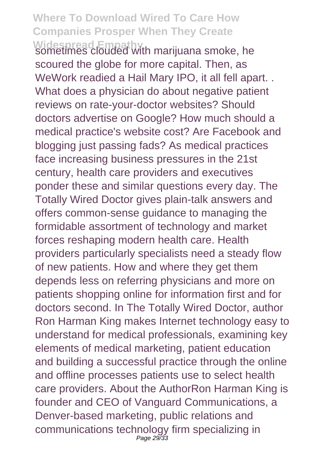**Widespread Empathy** sometimes clouded with marijuana smoke, he scoured the globe for more capital. Then, as WeWork readied a Hail Mary IPO, it all fell apart. . What does a physician do about negative patient reviews on rate-your-doctor websites? Should doctors advertise on Google? How much should a medical practice's website cost? Are Facebook and blogging just passing fads? As medical practices face increasing business pressures in the 21st century, health care providers and executives ponder these and similar questions every day. The Totally Wired Doctor gives plain-talk answers and offers common-sense guidance to managing the formidable assortment of technology and market forces reshaping modern health care. Health providers particularly specialists need a steady flow of new patients. How and where they get them depends less on referring physicians and more on patients shopping online for information first and for doctors second. In The Totally Wired Doctor, author Ron Harman King makes Internet technology easy to understand for medical professionals, examining key elements of medical marketing, patient education and building a successful practice through the online and offline processes patients use to select health care providers. About the AuthorRon Harman King is founder and CEO of Vanguard Communications, a Denver-based marketing, public relations and communications technology firm specializing in Page 29/33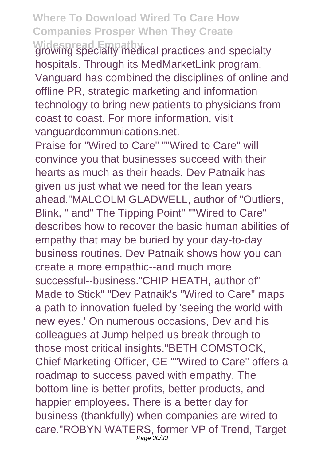Widespread Empathy<br>growing specialty medical practices and specialty hospitals. Through its MedMarketLink program, Vanguard has combined the disciplines of online and offline PR, strategic marketing and information technology to bring new patients to physicians from coast to coast. For more information, visit vanguardcommunications.net.

Praise for "Wired to Care" ""Wired to Care" will convince you that businesses succeed with their hearts as much as their heads. Dev Patnaik has given us just what we need for the lean years ahead."MALCOLM GLADWELL, author of "Outliers, Blink, " and" The Tipping Point" ""Wired to Care" describes how to recover the basic human abilities of empathy that may be buried by your day-to-day business routines. Dev Patnaik shows how you can create a more empathic--and much more successful--business."CHIP HEATH, author of" Made to Stick" "Dev Patnaik's "Wired to Care" maps a path to innovation fueled by 'seeing the world with new eyes.' On numerous occasions, Dev and his colleagues at Jump helped us break through to those most critical insights."BETH COMSTOCK, Chief Marketing Officer, GE ""Wired to Care" offers a roadmap to success paved with empathy. The bottom line is better profits, better products, and happier employees. There is a better day for business (thankfully) when companies are wired to care."ROBYN WATERS, former VP of Trend, Target Page 30/33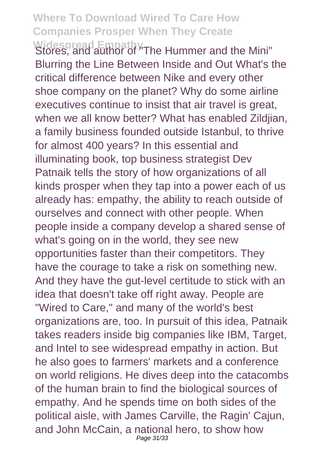Widespread Empathy<br>Stores, and author of "The Hummer and the Mini" Blurring the Line Between Inside and Out What's the critical difference between Nike and every other shoe company on the planet? Why do some airline executives continue to insist that air travel is great, when we all know better? What has enabled Zildjian, a family business founded outside Istanbul, to thrive for almost 400 years? In this essential and illuminating book, top business strategist Dev Patnaik tells the story of how organizations of all kinds prosper when they tap into a power each of us already has: empathy, the ability to reach outside of ourselves and connect with other people. When people inside a company develop a shared sense of what's going on in the world, they see new opportunities faster than their competitors. They have the courage to take a risk on something new. And they have the gut-level certitude to stick with an idea that doesn't take off right away. People are "Wired to Care," and many of the world's best organizations are, too. In pursuit of this idea, Patnaik takes readers inside big companies like IBM, Target, and Intel to see widespread empathy in action. But he also goes to farmers' markets and a conference on world religions. He dives deep into the catacombs of the human brain to find the biological sources of empathy. And he spends time on both sides of the political aisle, with James Carville, the Ragin' Cajun, and John McCain, a national hero, to show how Page 31/33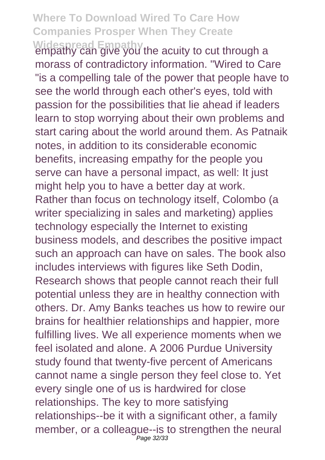Widespread Empathy<br>empathy can give you the acuity to cut through a morass of contradictory information. "Wired to Care "is a compelling tale of the power that people have to see the world through each other's eyes, told with passion for the possibilities that lie ahead if leaders learn to stop worrying about their own problems and start caring about the world around them. As Patnaik notes, in addition to its considerable economic benefits, increasing empathy for the people you serve can have a personal impact, as well: It just might help you to have a better day at work. Rather than focus on technology itself, Colombo (a writer specializing in sales and marketing) applies technology especially the Internet to existing business models, and describes the positive impact such an approach can have on sales. The book also includes interviews with figures like Seth Dodin, Research shows that people cannot reach their full potential unless they are in healthy connection with others. Dr. Amy Banks teaches us how to rewire our brains for healthier relationships and happier, more fulfilling lives. We all experience moments when we feel isolated and alone. A 2006 Purdue University study found that twenty-five percent of Americans cannot name a single person they feel close to. Yet every single one of us is hardwired for close relationships. The key to more satisfying relationships--be it with a significant other, a family member, or a colleague--is to strengthen the neural Page 32/33